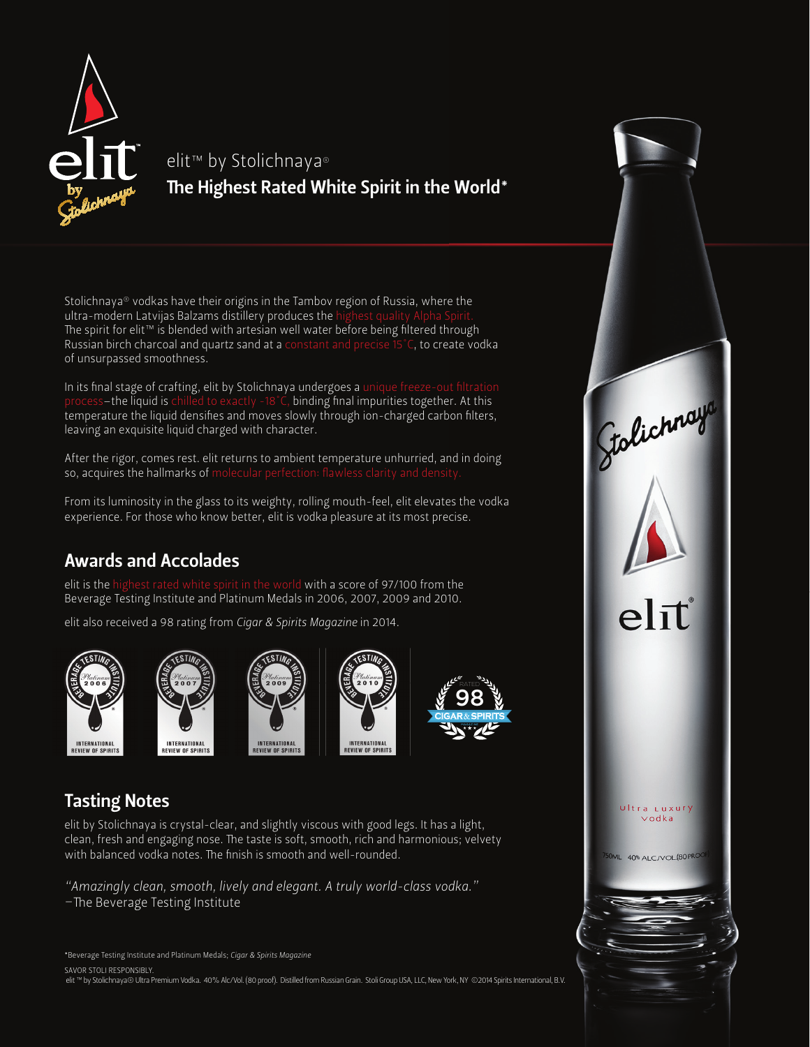

## elit<sup>™</sup> by Stolichnaya® The Highest Rated White Spirit in the World\*

Stolichnaya® vodkas have their origins in the Tambov region of Russia, where the ultra-modern Latvijas Balzams distillery produces the The spirit for elit™ is blended with artesian well water before being filtered through Russian birch charcoal and quartz sand at a constant and precise 15°C, to create vodka of unsurpassed smoothness.

In its final stage of crafting, elit by Stolichnaya undergoes a unique  $s$ –the liquid is chilled to exactly -18°C, binding final impurities together. At this temperature the liquid densifies and moves slowly through ion-charged carbon filters, leaving an exquisite liquid charged with character.

After the rigor, comes rest. elit returns to ambient temperature unhurried, and in doing so, acquires the hallmarks of molecular perfection: flawless clarity and density.

From its luminosity in the glass to its weighty, rolling mouth-feel, elit elevates the vodka experience. For those who know better, elit is vodka pleasure at its most precise.

#### Awards and Accolades

 elit is the highest rated white spirit in the world with a score of 97/100 from the Beverage Testing Institute and Platinum Medals in 2006, 2007, 2009 and 2010.

elit also received a 98 rating from *Cigar & Spirits Magazine* in 2014.











#### Tasting Notes

elit by Stolichnaya is crystal-clear, and slightly viscous with good legs. It has a light, clean, fresh and engaging nose. The taste is soft, smooth, rich and harmonious; velvety with balanced vodka notes. The finish is smooth and well-rounded.

*"Amazingly clean, smooth, lively and elegant. A truly world-class vodka."*  $\neg$ The Beverage Testing Institute

\*Beverage Testing Institute and Platinum Medals; *Cigar & Spirits Magazine*

SAVOR STOLI RESPONSIBLY.

elit ™ by Stolichnaya® Ultra Premium Vodka. 40% Alc/Vol. (80 proof). Distilled from Russian Grain. Stoli Group USA, LLC, New York, NY ©2014 Spirits International, B.V.